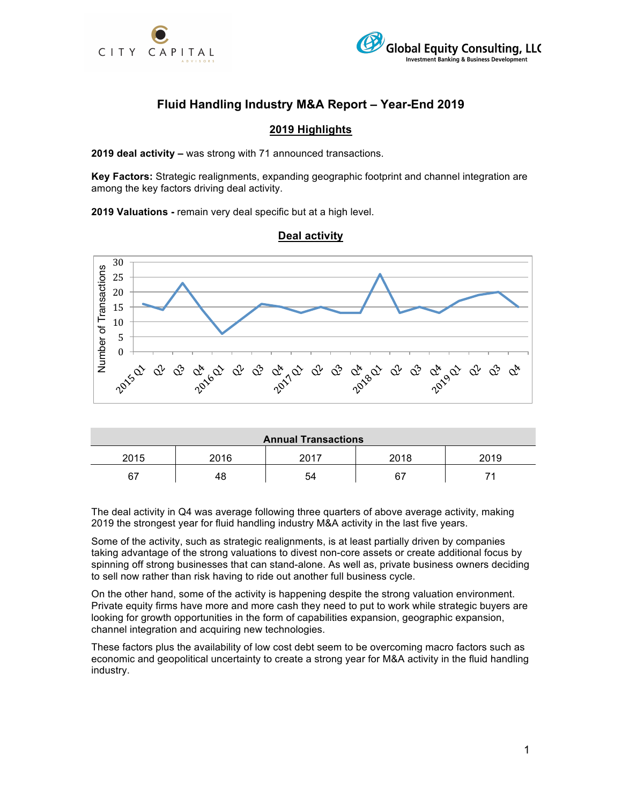



# **Fluid Handling Industry M&A Report – Year-End 2019**

### **2019 Highlights**

**2019 deal activity –** was strong with 71 announced transactions.

**Key Factors:** Strategic realignments, expanding geographic footprint and channel integration are among the key factors driving deal activity.

**2019 Valuations -** remain very deal specific but at a high level.

### **Deal activity**



| <b>Annual Transactions</b> |      |      |      |      |  |  |  |
|----------------------------|------|------|------|------|--|--|--|
| 2015                       | 2016 | へへィフ | 2018 | 2019 |  |  |  |
| 67                         | 48   | 54   | 67   |      |  |  |  |

The deal activity in Q4 was average following three quarters of above average activity, making 2019 the strongest year for fluid handling industry M&A activity in the last five years.

Some of the activity, such as strategic realignments, is at least partially driven by companies taking advantage of the strong valuations to divest non-core assets or create additional focus by spinning off strong businesses that can stand-alone. As well as, private business owners deciding to sell now rather than risk having to ride out another full business cycle.

On the other hand, some of the activity is happening despite the strong valuation environment. Private equity firms have more and more cash they need to put to work while strategic buyers are looking for growth opportunities in the form of capabilities expansion, geographic expansion, channel integration and acquiring new technologies.

These factors plus the availability of low cost debt seem to be overcoming macro factors such as economic and geopolitical uncertainty to create a strong year for M&A activity in the fluid handling industry.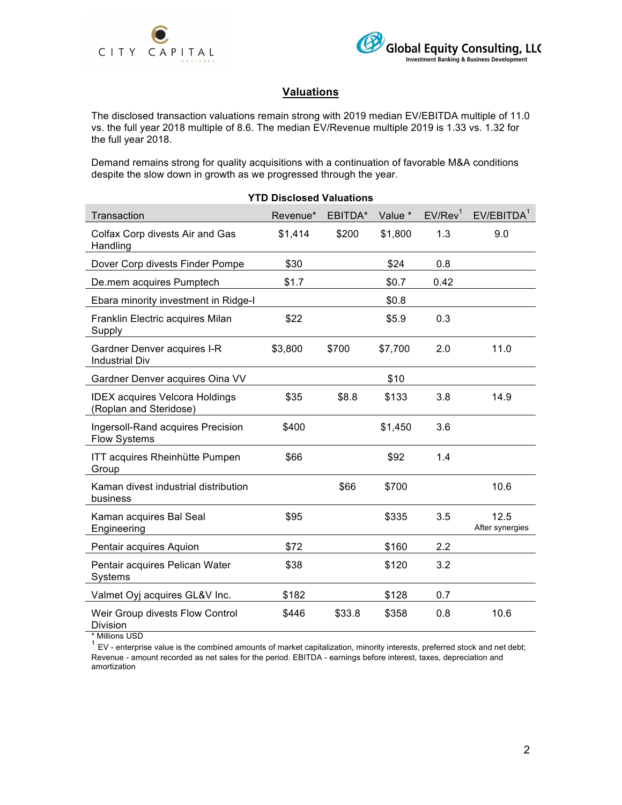



## **Valuations**

The disclosed transaction valuations remain strong with 2019 median EV/EBITDA multiple of 11.0 vs. the full year 2018 multiple of 8.6. The median EV/Revenue multiple 2019 is 1.33 vs. 1.32 for the full year 2018.

Demand remains strong for quality acquisitions with a continuation of favorable M&A conditions despite the slow down in growth as we progressed through the year.

| <b>YTD Disclosed Valuations</b>                                 |          |         |         |                     |                         |  |  |
|-----------------------------------------------------------------|----------|---------|---------|---------------------|-------------------------|--|--|
| Transaction                                                     | Revenue* | EBITDA* | Value * | EV/Rev <sup>1</sup> | EVIEBITDA <sup>1</sup>  |  |  |
| Colfax Corp divests Air and Gas<br>Handling                     | \$1,414  | \$200   | \$1,800 | 1.3                 | 9.0                     |  |  |
| Dover Corp divests Finder Pompe                                 | \$30     |         | \$24    | 0.8                 |                         |  |  |
| De.mem acquires Pumptech                                        | \$1.7    |         | \$0.7   | 0.42                |                         |  |  |
| Ebara minority investment in Ridge-I                            |          |         | \$0.8   |                     |                         |  |  |
| Franklin Electric acquires Milan<br>Supply                      | \$22     |         | \$5.9   | 0.3                 |                         |  |  |
| Gardner Denver acquires I-R<br><b>Industrial Div</b>            | \$3,800  | \$700   | \$7,700 | 2.0                 | 11.0                    |  |  |
| Gardner Denver acquires Oina VV                                 |          |         | \$10    |                     |                         |  |  |
| <b>IDEX acquires Velcora Holdings</b><br>(Roplan and Steridose) | \$35     | \$8.8   | \$133   | 3.8                 | 14.9                    |  |  |
| Ingersoll-Rand acquires Precision<br><b>Flow Systems</b>        | \$400    |         | \$1,450 | 3.6                 |                         |  |  |
| ITT acquires Rheinhütte Pumpen<br>Group                         | \$66     |         | \$92    | 1.4                 |                         |  |  |
| Kaman divest industrial distribution<br>business                |          | \$66    | \$700   |                     | 10.6                    |  |  |
| Kaman acquires Bal Seal<br>Engineering                          | \$95     |         | \$335   | 3.5                 | 12.5<br>After synergies |  |  |
| Pentair acquires Aquion                                         | \$72     |         | \$160   | 2.2                 |                         |  |  |
| Pentair acquires Pelican Water<br>Systems                       | \$38     |         | \$120   | 3.2                 |                         |  |  |
| Valmet Oyj acquires GL&V Inc.                                   | \$182    |         | \$128   | 0.7                 |                         |  |  |
| Weir Group divests Flow Control<br>Division                     | \$446    | \$33.8  | \$358   | 0.8                 | 10.6                    |  |  |

\* Millions USD

 $1$  EV - enterprise value is the combined amounts of market capitalization, minority interests, preferred stock and net debt; Revenue - amount recorded as net sales for the period. EBITDA - earnings before interest, taxes, depreciation and amortization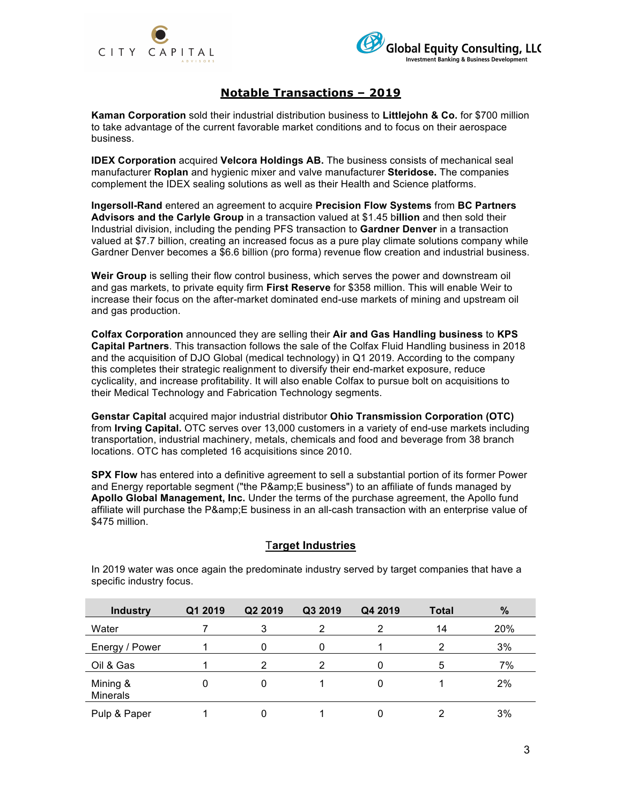



### **Notable Transactions – 2019**

**Kaman Corporation** sold their industrial distribution business to **Littlejohn & Co.** for \$700 million to take advantage of the current favorable market conditions and to focus on their aerospace business.

**IDEX Corporation** acquired **Velcora Holdings AB.** The business consists of mechanical seal manufacturer **Roplan** and hygienic mixer and valve manufacturer **Steridose.** The companies complement the IDEX sealing solutions as well as their Health and Science platforms.

**Ingersoll-Rand** entered an agreement to acquire **Precision Flow Systems** from **BC Partners Advisors and the Carlyle Group** in a transaction valued at \$1.45 b**illion** and then sold their Industrial division, including the pending PFS transaction to **Gardner Denver** in a transaction valued at \$7.7 billion, creating an increased focus as a pure play climate solutions company while Gardner Denver becomes a \$6.6 billion (pro forma) revenue flow creation and industrial business.

**Weir Group** is selling their flow control business, which serves the power and downstream oil and gas markets, to private equity firm **First Reserve** for \$358 million. This will enable Weir to increase their focus on the after-market dominated end-use markets of mining and upstream oil and gas production.

**Colfax Corporation** announced they are selling their **Air and Gas Handling business** to **KPS Capital Partners**. This transaction follows the sale of the Colfax Fluid Handling business in 2018 and the acquisition of DJO Global (medical technology) in Q1 2019. According to the company this completes their strategic realignment to diversify their end-market exposure, reduce cyclicality, and increase profitability. It will also enable Colfax to pursue bolt on acquisitions to their Medical Technology and Fabrication Technology segments.

**Genstar Capital** acquired major industrial distributor **Ohio Transmission Corporation (OTC)** from **Irving Capital.** OTC serves over 13,000 customers in a variety of end-use markets including transportation, industrial machinery, metals, chemicals and food and beverage from 38 branch locations. OTC has completed 16 acquisitions since 2010.

**SPX Flow** has entered into a definitive agreement to sell a substantial portion of its former Power and Energy reportable segment ("the P&E business") to an affiliate of funds managed by **Apollo Global Management, Inc.** Under the terms of the purchase agreement, the Apollo fund affiliate will purchase the P&amp: E business in an all-cash transaction with an enterprise value of \$475 million.

### T**arget Industries**

| <b>Industry</b>             | Q1 2019 | Q2 2019 | Q3 2019 | Q4 2019 | <b>Total</b> | $\frac{9}{6}$ |
|-----------------------------|---------|---------|---------|---------|--------------|---------------|
| Water                       |         |         |         | 2       | 14           | 20%           |
| Energy / Power              |         |         |         |         | 2            | 3%            |
| Oil & Gas                   |         |         |         | 0       | 5            | 7%            |
| Mining &<br><b>Minerals</b> |         |         |         | 0       |              | 2%            |
| Pulp & Paper                |         |         |         | 0       |              | 3%            |

In 2019 water was once again the predominate industry served by target companies that have a specific industry focus.